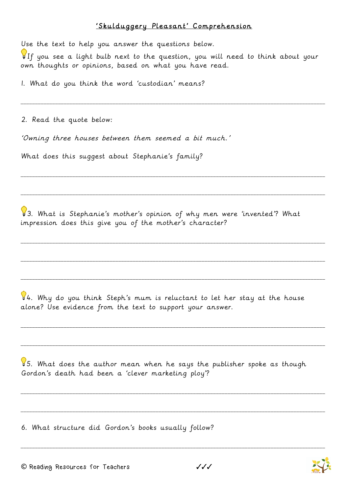## 'Skulduggery Pleasant' Comprehension

Use the text to help you answer the questions below.

If you see a light bulb next to the question, you will need to think about your own thoughts or opinions, based on what you have read.

\_\_\_\_\_\_\_\_\_\_\_\_\_\_\_\_\_\_\_\_\_\_\_\_\_\_\_\_\_\_\_\_\_\_\_\_\_\_\_\_\_\_\_\_\_\_\_\_\_\_\_\_\_\_\_\_\_\_\_\_\_\_\_\_\_\_\_\_\_\_\_\_\_\_\_\_\_\_\_\_\_\_\_\_\_\_\_\_\_\_\_\_\_\_\_\_\_\_\_\_\_\_\_\_\_\_

\_\_\_\_\_\_\_\_\_\_\_\_\_\_\_\_\_\_\_\_\_\_\_\_\_\_\_\_\_\_\_\_\_\_\_\_\_\_\_\_\_\_\_\_\_\_\_\_\_\_\_\_\_\_\_\_\_\_\_\_\_\_\_\_\_\_\_\_\_\_\_\_\_\_\_\_\_\_\_\_\_\_\_\_\_\_\_\_\_\_\_\_\_\_\_\_\_\_\_\_\_\_\_\_\_\_

\_\_\_\_\_\_\_\_\_\_\_\_\_\_\_\_\_\_\_\_\_\_\_\_\_\_\_\_\_\_\_\_\_\_\_\_\_\_\_\_\_\_\_\_\_\_\_\_\_\_\_\_\_\_\_\_\_\_\_\_\_\_\_\_\_\_\_\_\_\_\_\_\_\_\_\_\_\_\_\_\_\_\_\_\_\_\_\_\_\_\_\_\_\_\_\_\_\_\_\_\_\_\_\_\_\_

\_\_\_\_\_\_\_\_\_\_\_\_\_\_\_\_\_\_\_\_\_\_\_\_\_\_\_\_\_\_\_\_\_\_\_\_\_\_\_\_\_\_\_\_\_\_\_\_\_\_\_\_\_\_\_\_\_\_\_\_\_\_\_\_\_\_\_\_\_\_\_\_\_\_\_\_\_\_\_\_\_\_\_\_\_\_\_\_\_\_\_\_\_\_\_\_\_\_\_\_\_\_\_\_\_\_

\_\_\_\_\_\_\_\_\_\_\_\_\_\_\_\_\_\_\_\_\_\_\_\_\_\_\_\_\_\_\_\_\_\_\_\_\_\_\_\_\_\_\_\_\_\_\_\_\_\_\_\_\_\_\_\_\_\_\_\_\_\_\_\_\_\_\_\_\_\_\_\_\_\_\_\_\_\_\_\_\_\_\_\_\_\_\_\_\_\_\_\_\_\_\_\_\_\_\_\_\_\_\_\_\_\_

\_\_\_\_\_\_\_\_\_\_\_\_\_\_\_\_\_\_\_\_\_\_\_\_\_\_\_\_\_\_\_\_\_\_\_\_\_\_\_\_\_\_\_\_\_\_\_\_\_\_\_\_\_\_\_\_\_\_\_\_\_\_\_\_\_\_\_\_\_\_\_\_\_\_\_\_\_\_\_\_\_\_\_\_\_\_\_\_\_\_\_\_\_\_\_\_\_\_\_\_\_\_\_\_\_\_

\_\_\_\_\_\_\_\_\_\_\_\_\_\_\_\_\_\_\_\_\_\_\_\_\_\_\_\_\_\_\_\_\_\_\_\_\_\_\_\_\_\_\_\_\_\_\_\_\_\_\_\_\_\_\_\_\_\_\_\_\_\_\_\_\_\_\_\_\_\_\_\_\_\_\_\_\_\_\_\_\_\_\_\_\_\_\_\_\_\_\_\_\_\_\_\_\_\_\_\_\_\_\_\_\_\_

\_\_\_\_\_\_\_\_\_\_\_\_\_\_\_\_\_\_\_\_\_\_\_\_\_\_\_\_\_\_\_\_\_\_\_\_\_\_\_\_\_\_\_\_\_\_\_\_\_\_\_\_\_\_\_\_\_\_\_\_\_\_\_\_\_\_\_\_\_\_\_\_\_\_\_\_\_\_\_\_\_\_\_\_\_\_\_\_\_\_\_\_\_\_\_\_\_\_\_\_\_\_\_\_\_\_

\_\_\_\_\_\_\_\_\_\_\_\_\_\_\_\_\_\_\_\_\_\_\_\_\_\_\_\_\_\_\_\_\_\_\_\_\_\_\_\_\_\_\_\_\_\_\_\_\_\_\_\_\_\_\_\_\_\_\_\_\_\_\_\_\_\_\_\_\_\_\_\_\_\_\_\_\_\_\_\_\_\_\_\_\_\_\_\_\_\_\_\_\_\_\_\_\_\_\_\_\_\_\_\_\_\_

\_\_\_\_\_\_\_\_\_\_\_\_\_\_\_\_\_\_\_\_\_\_\_\_\_\_\_\_\_\_\_\_\_\_\_\_\_\_\_\_\_\_\_\_\_\_\_\_\_\_\_\_\_\_\_\_\_\_\_\_\_\_\_\_\_\_\_\_\_\_\_\_\_\_\_\_\_\_\_\_\_\_\_\_\_\_\_\_\_\_\_\_\_\_\_\_\_\_\_\_\_\_\_\_\_\_

\_\_\_\_\_\_\_\_\_\_\_\_\_\_\_\_\_\_\_\_\_\_\_\_\_\_\_\_\_\_\_\_\_\_\_\_\_\_\_\_\_\_\_\_\_\_\_\_\_\_\_\_\_\_\_\_\_\_\_\_\_\_\_\_\_\_\_\_\_\_\_\_\_\_\_\_\_\_\_\_\_\_\_\_\_\_\_\_\_\_\_\_\_\_\_\_\_\_\_\_\_\_\_\_\_\_

1. What do you think the word 'custodian' means?

2. Read the quote below:

'Owning three houses between them seemed a bit much.'

What does this suggest about Stephanie's family?

3. What is Stephanie's mother's opinion of why men were 'invented'? What impression does this give you of the mother's character?

4. Why do you think Steph's mum is reluctant to let her stay at the house alone? Use evidence from the text to support your answer.

 $95.$  What does the author mean when he says the publisher spoke as though Gordon's death had been a 'clever marketing ploy'?

6. What structure did Gordon's books usually follow?